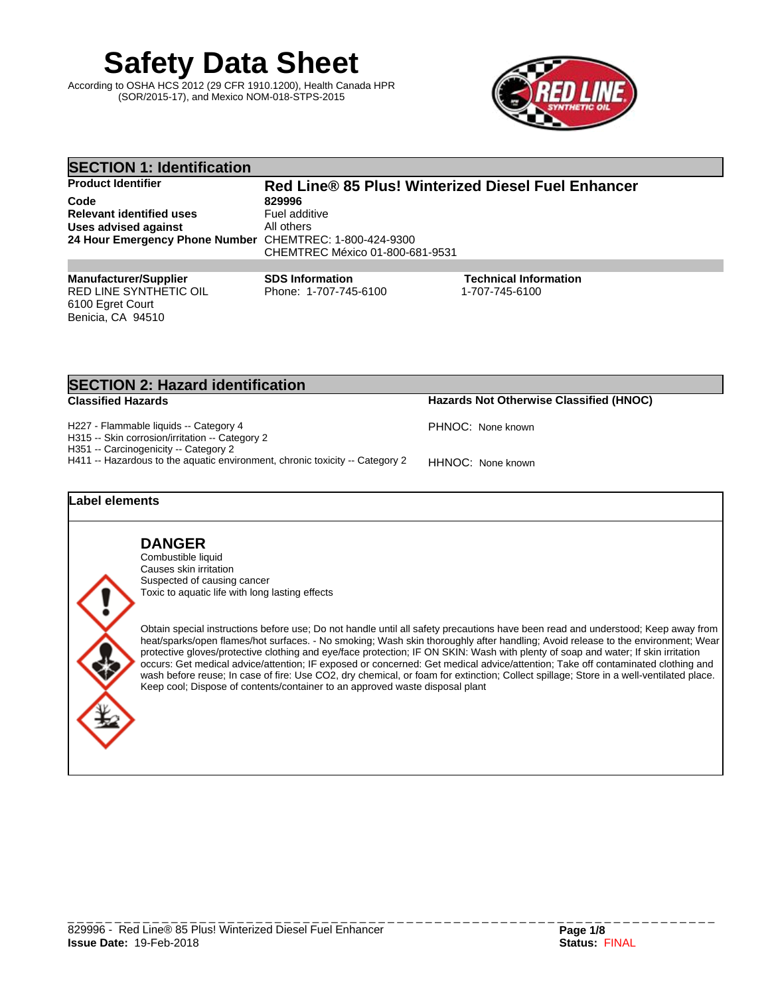**Safety Data Sheet**

According to OSHA HCS 2012 (29 CFR 1910.1200), Health Canada HPR (SOR/2015-17), and Mexico NOM-018-STPS-2015



| <b>SECTION 1: Identification</b>                        |                                                    |                                                |  |  |
|---------------------------------------------------------|----------------------------------------------------|------------------------------------------------|--|--|
| <b>Product Identifier</b>                               | Red Line® 85 Plus! Winterized Diesel Fuel Enhancer |                                                |  |  |
| Code                                                    | 829996                                             |                                                |  |  |
| <b>Relevant identified uses</b>                         | Fuel additive                                      |                                                |  |  |
| Uses advised against                                    | All others                                         |                                                |  |  |
| 24 Hour Emergency Phone Number CHEMTREC: 1-800-424-9300 | CHEMTREC México 01-800-681-9531                    |                                                |  |  |
|                                                         |                                                    |                                                |  |  |
| <b>Manufacturer/Supplier</b><br>RED LINE SYNTHETIC OIL  | <b>SDS Information</b><br>Phone: 1-707-745-6100    | <b>Technical Information</b><br>1-707-745-6100 |  |  |
| 6100 Egret Court                                        |                                                    |                                                |  |  |

| Hazards Not Otherwise Classified (HNOC)<br><b>Classified Hazards</b>                                                  |                   |
|-----------------------------------------------------------------------------------------------------------------------|-------------------|
| H227 - Flammable liquids -- Category 4<br>H315 -- Skin corrosion/irritation -- Category 2                             | PHNOC: None known |
| H351 -- Carcinogenicity -- Category 2<br>H411 -- Hazardous to the aquatic environment, chronic toxicity -- Category 2 | HHNOC: None known |
| Label elements                                                                                                        |                   |
|                                                                                                                       |                   |

**DANGER** Combustible liquid Causes skin irritation Suspected of causing cancer Toxic to aquatic life with long lasting effects

**SECTION 2: Hazard identification**

Benicia, CA 94510

Obtain special instructions before use; Do not handle until all safety precautions have been read and understood; Keep away from heat/sparks/open flames/hot surfaces. - No smoking; Wash skin thoroughly after handling; Avoid release to the environment; Wear protective gloves/protective clothing and eye/face protection; IF ON SKIN: Wash with plenty of soap and water; If skin irritation occurs: Get medical advice/attention; IF exposed or concerned: Get medical advice/attention; Take off contaminated clothing and wash before reuse; In case of fire: Use CO2, dry chemical, or foam for extinction; Collect spillage; Store in a well-ventilated place. Keep cool; Dispose of contents/container to an approved waste disposal plant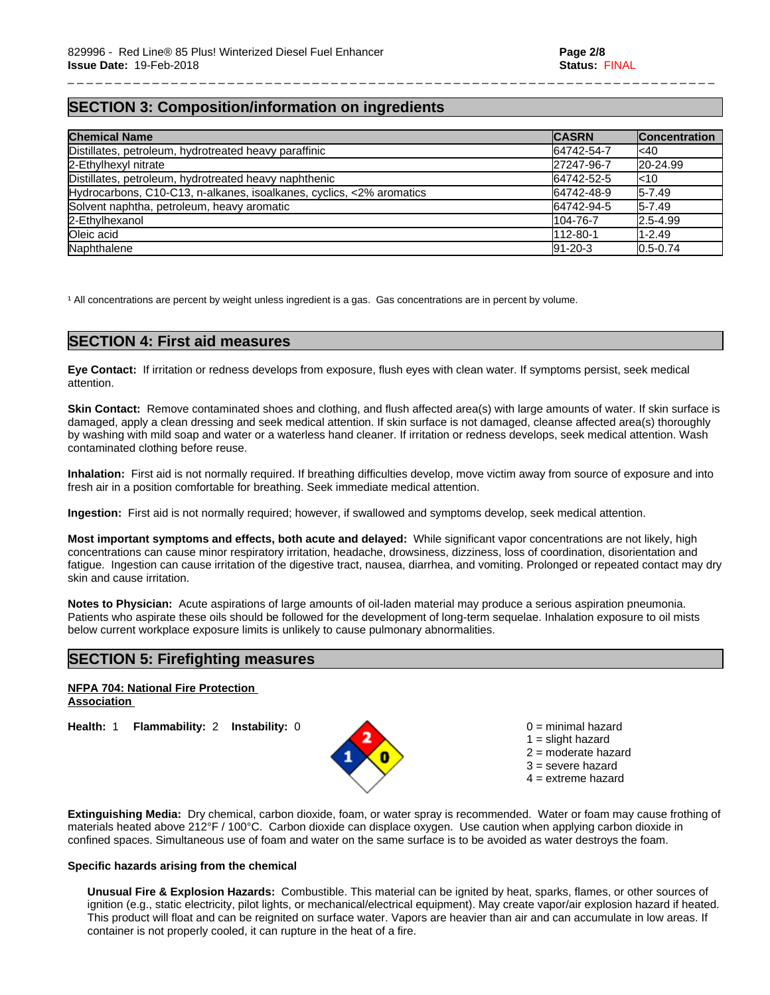# **SECTION 3: Composition/information on ingredients**

| <b>Chemical Name</b>                                                 | <b>CASRN</b>  | <b>Concentration</b> |
|----------------------------------------------------------------------|---------------|----------------------|
| Distillates, petroleum, hydrotreated heavy paraffinic                | 64742-54-7    | l<40                 |
| 2-Ethylhexyl nitrate                                                 | 27247-96-7    | $ 20-24.99 $         |
| Distillates, petroleum, hydrotreated heavy naphthenic                | 64742-52-5    | k10                  |
| Hydrocarbons, C10-C13, n-alkanes, isoalkanes, cyclics, <2% aromatics | 64742-48-9    | $I5-7.49$            |
| Solvent naphtha, petroleum, heavy aromatic                           | 64742-94-5    | $I5-7.49$            |
| 2-Ethylhexanol                                                       | 104-76-7      | 2.5-4.99             |
| Oleic acid                                                           | 112-80-1      | 1-2.49               |
| Naphthalene                                                          | $91 - 20 - 3$ | $0.5 - 0.74$         |

\_ \_ \_ \_ \_ \_ \_ \_ \_ \_ \_ \_ \_ \_ \_ \_ \_ \_ \_ \_ \_ \_ \_ \_ \_ \_ \_ \_ \_ \_ \_ \_ \_ \_ \_ \_ \_ \_ \_ \_ \_ \_ \_ \_ \_ \_ \_ \_ \_ \_ \_ \_ \_ \_ \_ \_ \_ \_ \_ \_ \_ \_ \_ \_ \_ \_ \_ \_ \_

<sup>1</sup> All concentrations are percent by weight unless ingredient is a gas. Gas concentrations are in percent by volume.

## **SECTION 4: First aid measures**

**Eye Contact:** Ifirritation or redness develops from exposure, flush eyes with clean water. If symptoms persist, seek medical attention.

**Skin Contact:** Remove contaminated shoes and clothing, and flush affected area(s) with large amounts of water. If skin surface is damaged, apply a clean dressing and seek medical attention. If skin surface is not damaged, cleanse affected area(s) thoroughly by washing with mild soap and water or a waterless hand cleaner. If irritation or redness develops, seek medical attention. Wash contaminated clothing before reuse.

**Inhalation:** First aid is not normally required. If breathing difficulties develop, move victim away from source of exposure and into fresh air in a position comfortable for breathing. Seek immediate medical attention.

**Ingestion:** First aid is not normally required; however, if swallowed and symptoms develop, seek medical attention.

**Most important symptoms and effects, both acute and delayed:** While significant vapor concentrations are not likely, high concentrations can cause minor respiratory irritation, headache, drowsiness, dizziness, loss of coordination, disorientation and fatigue. Ingestion can cause irritation of the digestive tract, nausea, diarrhea, and vomiting. Prolonged or repeated contact may dry skin and cause irritation.

**Notes to Physician:**Acute aspirations of large amounts of oil-laden material may produce a serious aspiration pneumonia. Patients who aspirate these oils should be followed for the development of long-term sequelae. Inhalation exposure to oil mists below current workplace exposure limits is unlikely to cause pulmonary abnormalities.

# **SECTION 5: Firefighting measures**

#### **NFPA 704: National Fire Protection Association**

**Health:** 1 **Flammability:** 2 **Instability:** 0 0 = minimal hazard



 $1 =$  slight hazard 2 = moderate hazard 3 = severe hazard  $4 =$  extreme hazard

**Extinguishing Media:** Dry chemical, carbon dioxide, foam, or water spray is recommended. Water or foam may cause frothing of materials heated above 212°F / 100°C. Carbon dioxide can displace oxygen. Use caution when applying carbon dioxide in confined spaces. Simultaneous use of foam and water on the same surface is to be avoided as water destroys the foam.

#### **Specific hazards arising from the chemical**

**Unusual Fire & Explosion Hazards:** Combustible. This material can be ignited by heat, sparks, flames, or other sources of ignition (e.g., static electricity, pilot lights, or mechanical/electrical equipment). May create vapor/air explosion hazard if heated. This product will float and can be reignited on surface water. Vapors are heavier than air and can accumulate in low areas. If container is not properly cooled, it can rupture in the heat of a fire.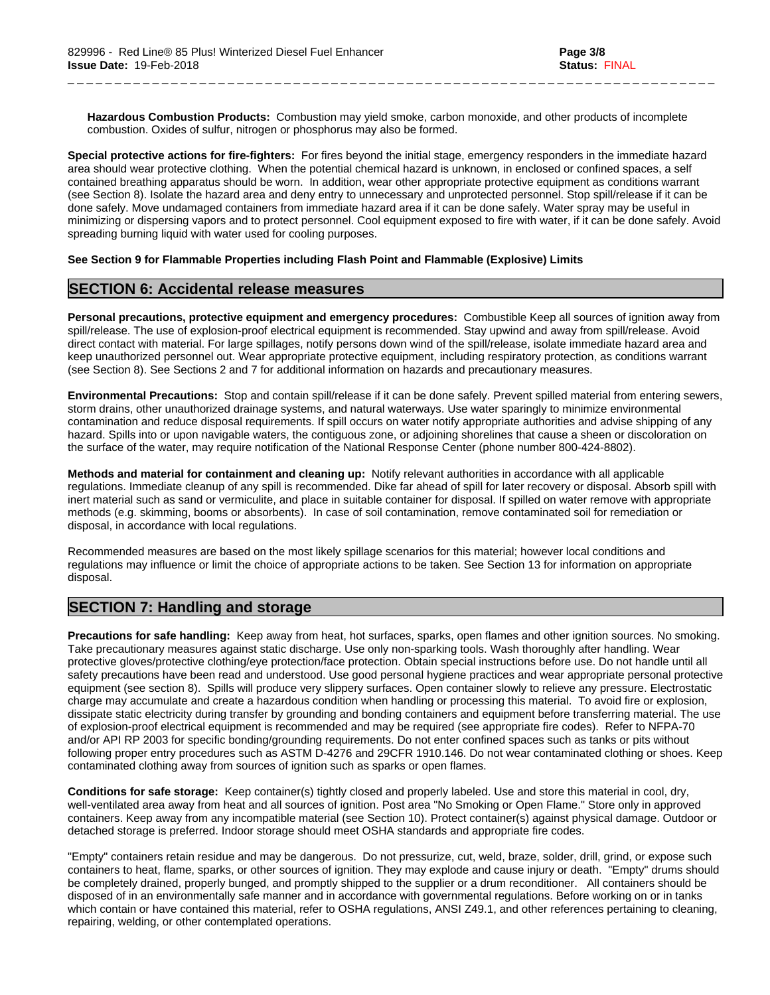**Hazardous Combustion Products:** Combustion may yield smoke, carbon monoxide, and other products of incomplete combustion. Oxides of sulfur, nitrogen or phosphorus may also be formed.

\_ \_ \_ \_ \_ \_ \_ \_ \_ \_ \_ \_ \_ \_ \_ \_ \_ \_ \_ \_ \_ \_ \_ \_ \_ \_ \_ \_ \_ \_ \_ \_ \_ \_ \_ \_ \_ \_ \_ \_ \_ \_ \_ \_ \_ \_ \_ \_ \_ \_ \_ \_ \_ \_ \_ \_ \_ \_ \_ \_ \_ \_ \_ \_ \_ \_ \_ \_ \_

**Special protective actions for fire-fighters:** For fires beyond the initial stage, emergency responders in the immediate hazard area should wear protective clothing. When the potential chemical hazard is unknown, in enclosed or confined spaces, a self contained breathing apparatus should be worn. In addition, wear other appropriate protective equipment as conditions warrant (see Section 8). Isolate the hazard area and deny entry to unnecessary and unprotected personnel. Stop spill/release if it can be done safely. Move undamaged containers from immediate hazard area if it can be done safely. Water spray may be useful in minimizing or dispersing vapors and to protect personnel. Cool equipment exposed to fire with water, if it can be done safely. Avoid spreading burning liquid with water used for cooling purposes.

#### **See Section 9 for Flammable Properties including Flash Point and Flammable (Explosive) Limits**

## **SECTION 6: Accidental release measures**

**Personal precautions, protective equipment and emergency procedures:** Combustible Keep all sources of ignition away from spill/release. The use of explosion-proof electrical equipment is recommended. Stay upwind and away from spill/release. Avoid direct contact with material. For large spillages, notify persons down wind of the spill/release, isolate immediate hazard area and keep unauthorized personnel out. Wear appropriate protective equipment, including respiratory protection, as conditions warrant (see Section 8). See Sections 2 and 7 foradditional information on hazards and precautionary measures.

**Environmental Precautions:** Stop and contain spill/release if it can be done safely. Prevent spilled material from entering sewers, storm drains, other unauthorized drainage systems, and natural waterways. Use water sparingly to minimize environmental contamination and reduce disposal requirements. If spill occurs on water notify appropriate authorities and advise shipping of any hazard. Spills into or upon navigable waters, the contiguous zone, or adjoining shorelines that cause a sheen or discoloration on the surface of the water, may require notification of the National Response Center (phone number 800-424-8802).

**Methods and material for containment and cleaning up:** Notify relevant authorities in accordance with all applicable regulations. Immediate cleanup of any spill is recommended. Dike far ahead of spill for later recovery or disposal. Absorb spill with inert material such as sand or vermiculite, and place in suitable container for disposal. If spilled on water remove with appropriate methods (e.g. skimming, booms or absorbents). In case of soil contamination, remove contaminated soil for remediation or disposal, in accordance with local regulations.

Recommended measures are based on the most likely spillage scenarios for this material; however local conditions and regulations may influence or limit the choice of appropriate actions to be taken. See Section 13 for information on appropriate disposal.

# **SECTION 7: Handling and storage**

**Precautions for safe handling:** Keep away from heat, hot surfaces, sparks, open flames and other ignition sources. No smoking. Take precautionary measures against static discharge. Use only non-sparking tools. Wash thoroughly after handling. Wear protective gloves/protective clothing/eye protection/face protection. Obtain special instructions before use. Do not handle until all safety precautions have been read and understood. Use good personal hygiene practices and wear appropriate personal protective equipment (see section 8). Spills will produce very slippery surfaces. Open container slowly to relieve any pressure. Electrostatic charge may accumulate and create a hazardous condition when handling or processing this material. To avoid fire or explosion, dissipate static electricity during transfer by grounding and bonding containers and equipment before transferring material. The use of explosion-proof electrical equipment is recommended and may be required (see appropriate fire codes). Refer to NFPA-70 and/or API RP 2003 for specific bonding/grounding requirements. Do not enter confined spaces such as tanks or pits without following proper entry procedures such as ASTM D-4276 and 29CFR 1910.146. Do not wear contaminated clothing or shoes. Keep contaminated clothing away from sources of ignition such as sparks or open flames.

**Conditions for safe storage:**Keep container(s) tightly closed and properly labeled. Use and store this material in cool, dry, well-ventilated area away from heat and all sources of ignition. Post area "No Smoking or Open Flame." Store only in approved containers. Keep away from any incompatible material (see Section 10). Protect container(s) against physical damage. Outdoor or detached storage is preferred. Indoor storage should meet OSHA standards and appropriate fire codes.

"Empty" containers retain residue and may be dangerous. Do not pressurize, cut, weld, braze, solder, drill, grind, or expose such containers to heat, flame, sparks, or other sources of ignition. They may explode and cause injury or death."Empty" drums should be completely drained, properly bunged, and promptly shipped to the supplier or a drum reconditioner. All containers should be disposed of in an environmentally safe manner and in accordance with governmental regulations. Before working on or in tanks which contain or have contained this material, refer to OSHA regulations, ANSI Z49.1, and other references pertaining to cleaning, repairing, welding, or other contemplated operations.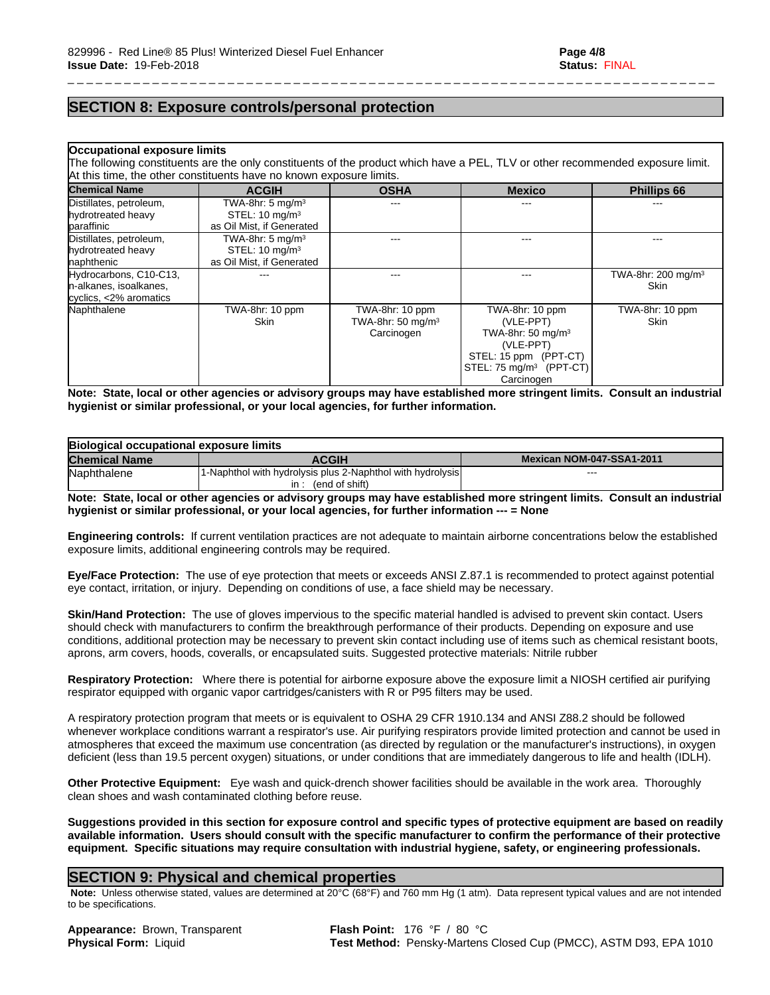# **SECTION 8: Exposure controls/personal protection**

#### **Occupational exposure limits**

The following constituents are the only constituents of the product which have a PEL, TLV or other recommended exposure limit. At this time, the other constituents have no known exposure limits.

\_ \_ \_ \_ \_ \_ \_ \_ \_ \_ \_ \_ \_ \_ \_ \_ \_ \_ \_ \_ \_ \_ \_ \_ \_ \_ \_ \_ \_ \_ \_ \_ \_ \_ \_ \_ \_ \_ \_ \_ \_ \_ \_ \_ \_ \_ \_ \_ \_ \_ \_ \_ \_ \_ \_ \_ \_ \_ \_ \_ \_ \_ \_ \_ \_ \_ \_ \_ \_

| <b>Chemical Name</b>    | <b>ACGIH</b>                 | <b>OSHA</b>                   | <b>Mexico</b>                       | <b>Phillips 66</b>    |
|-------------------------|------------------------------|-------------------------------|-------------------------------------|-----------------------|
| Distillates, petroleum, | TWA-8hr: 5 mg/m <sup>3</sup> | ---                           | ---                                 |                       |
| hydrotreated heavy      | STEL: $10 \text{ mg/m}^3$    |                               |                                     |                       |
| paraffinic              | as Oil Mist, if Generated    |                               |                                     |                       |
| Distillates, petroleum, | TWA-8hr: 5 mg/m <sup>3</sup> |                               |                                     |                       |
| hydrotreated heavy      | STEL: $10 \text{ mg/m}^3$    |                               |                                     |                       |
| naphthenic              | as Oil Mist, if Generated    |                               |                                     |                       |
| Hydrocarbons, C10-C13,  |                              | ---                           | ---                                 | TWA-8hr: 200 mg/m $3$ |
| n-alkanes, isoalkanes,  |                              |                               |                                     | Skin                  |
| cyclics, <2% aromatics  |                              |                               |                                     |                       |
| Naphthalene             | TWA-8hr: 10 ppm              | TWA-8hr: 10 ppm               | TWA-8hr: 10 ppm                     | TWA-8hr: 10 ppm       |
|                         | <b>Skin</b>                  | TWA-8hr: 50 mg/m <sup>3</sup> | (VLE-PPT)                           | <b>Skin</b>           |
|                         |                              | Carcinogen                    | TWA-8hr: 50 mg/m <sup>3</sup>       |                       |
|                         |                              |                               | (VLE-PPT)                           |                       |
|                         |                              |                               | STEL: 15 ppm (PPT-CT)               |                       |
|                         |                              |                               | STEL: 75 mg/m <sup>3</sup> (PPT-CT) |                       |
|                         |                              |                               | Carcinogen                          |                       |

Note: State, local or other agencies or advisory groups may have established more stringent limits. Consult an industrial **hygienist or similar professional, or your local agencies, for further information.**

| Biological occupational exposure limits |                                                                                               |                           |  |
|-----------------------------------------|-----------------------------------------------------------------------------------------------|---------------------------|--|
| <b>Chemical Name</b>                    | <b>ACGIH</b>                                                                                  | Mexican NOM-047-SSA1-2011 |  |
| Naphthalene                             | 11-Naphthol with hydrolysis plus 2-Naphthol with hydrolysis<br>(end of shift)<br>$\mathsf{I}$ | $- - -$                   |  |

Note: State, local or other agencies or advisory groups may have established more stringent limits. Consult an industrial **hygienist or similar professional, or your local agencies, for further information --- = None**

**Engineering controls:** If current ventilation practices are not adequate to maintain airborne concentrations below the established exposure limits, additional engineering controls may be required.

**Eye/Face Protection:** The use of eye protection that meets or exceeds ANSI Z.87.1 isrecommended to protect against potential eye contact, irritation, or injury. Depending on conditions of use, a face shield may be necessary.

**Skin/Hand Protection:** The use of gloves impervious to the specific material handled is advised to prevent skin contact. Users should check with manufacturers to confirm the breakthrough performance of their products. Depending on exposure and use conditions, additional protection may be necessary to prevent skin contact including use of items such as chemical resistant boots, aprons, arm covers, hoods, coveralls, or encapsulated suits. Suggested protective materials: Nitrile rubber

**Respiratory Protection:** Where there is potential for airborne exposure above the exposure limit a NIOSH certified air purifying respirator equipped with organic vapor cartridges/canisters with R or P95 filters may be used.

A respiratory protection program that meets or is equivalent to OSHA 29 CFR 1910.134 and ANSI Z88.2 should be followed whenever workplace conditions warrant a respirator's use. Air purifying respirators provide limited protection and cannot be used in atmospheres that exceed the maximum use concentration (as directed by regulation or the manufacturer's instructions), in oxygen deficient (less than 19.5 percent oxygen) situations, or under conditions that are immediately dangerous to life and health (IDLH).

**Other Protective Equipment:** Eye wash and quick-drench shower facilities should be available in the work area. Thoroughly clean shoes and wash contaminated clothing before reuse.

Suggestions provided in this section for exposure control and specific types of protective equipment are based on readily available information. Users should consult with the specific manufacturer to confirm the performance of their protective **equipment. Specific situations may require consultation with industrial hygiene, safety, or engineering professionals.**

## **SECTION 9: Physical and chemical properties**

 **Note:** Unless otherwise stated, values are determined at 20°C (68°F) and 760 mm Hg (1 atm). Data represent typical values and are not intended to be specifications.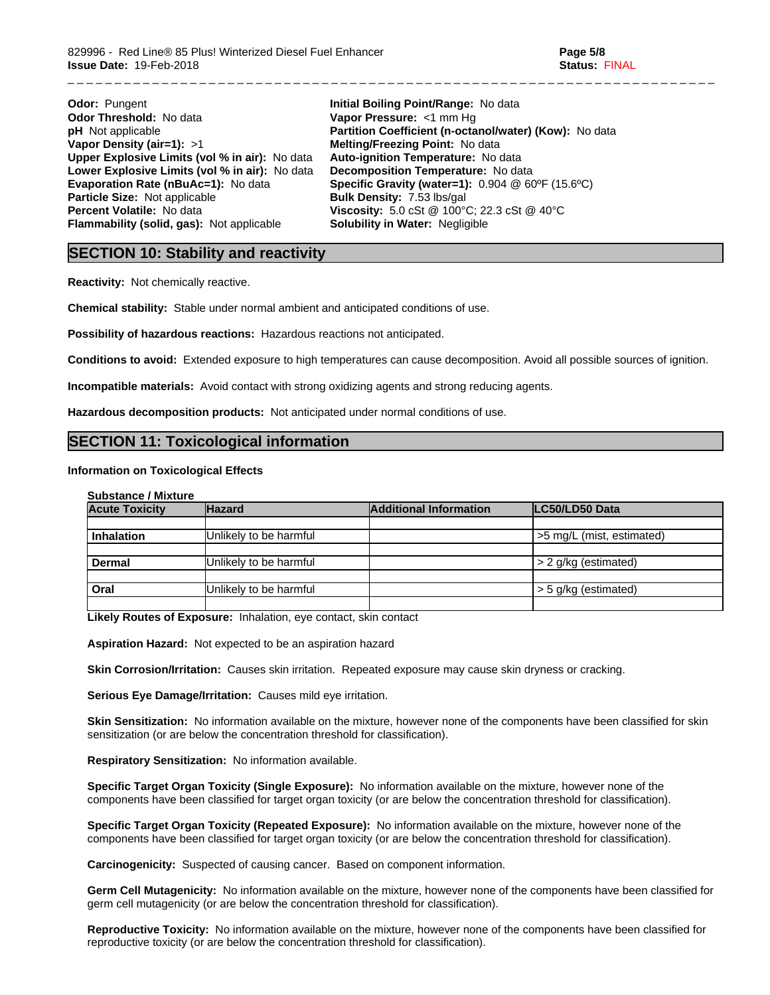| <b>Odor: Pungent</b>                           | Ini |
|------------------------------------------------|-----|
| <b>Odor Threshold: No data</b>                 | Va  |
| <b>pH</b> Not applicable                       | Pa  |
| Vapor Density (air=1): $>1$                    | Μe  |
| Upper Explosive Limits (vol % in air): No data | Αu  |
| Lower Explosive Limits (vol % in air): No data | De  |
| <b>Evaporation Rate (nBuAc=1): No data</b>     | Sp  |
| Particle Size: Not applicable                  | Βυ  |
| Percent Volatile: No data                      | Vi: |
| Flammability (solid, gas): Not applicable      | So  |

**tial Boiling Point/Range: No data por Pressure:** <1 mm Hg **prtition Coefficient (n-octanol/water) (Kow):** No data **Vapor Density (air=1):** >1 **Melting/Freezing Point:** No data **Upper Explosive Limits (vol% in air):** No data **Auto-ignition Temperature:** No data **Expanding Expanding Temperature:** No data **Example 3 Finds Cravity (water=1):**  $0.904 \& 60^{\circ}F (15.6^{\circ}C)$ **Ilk Density: 7.53 lbs/gal Percent Volatile:** No data **Viscosity:** 5.0 cSt @ 100°C; 22.3 cSt @ 40°C **Flamility in Water: Negligible** 

\_ \_ \_ \_ \_ \_ \_ \_ \_ \_ \_ \_ \_ \_ \_ \_ \_ \_ \_ \_ \_ \_ \_ \_ \_ \_ \_ \_ \_ \_ \_ \_ \_ \_ \_ \_ \_ \_ \_ \_ \_ \_ \_ \_ \_ \_ \_ \_ \_ \_ \_ \_ \_ \_ \_ \_ \_ \_ \_ \_ \_ \_ \_ \_ \_ \_ \_ \_ \_

# **SECTION 10: Stability and reactivity**

**Reactivity:** Not chemically reactive.

**Chemical stability:** Stable under normal ambient and anticipated conditions of use.

**Possibility of hazardous reactions:** Hazardous reactions not anticipated.

**Conditions to avoid:** Extended exposure to high temperatures can cause decomposition. Avoid all possible sources of ignition.

**Incompatible materials:** Avoid contact with strong oxidizing agents and strong reducing agents.

**Hazardous decomposition products:** Not anticipated under normal conditions of use.

# **SECTION 11: Toxicological information**

#### **Information on Toxicological Effects**

| <b>Substance / Mixture</b> |  |  |
|----------------------------|--|--|
|----------------------------|--|--|

| <b>Acute Toxicity</b> | <b>Hazard</b>          | <b>Additional Information</b> | LC50/LD50 Data            |
|-----------------------|------------------------|-------------------------------|---------------------------|
|                       |                        |                               |                           |
| Inhalation            | Unlikely to be harmful |                               | >5 mg/L (mist, estimated) |
|                       |                        |                               |                           |
| Dermal                | Unlikely to be harmful |                               | $\geq$ 2 g/kg (estimated) |
|                       |                        |                               |                           |
| Oral                  | Unlikely to be harmful |                               | $\geq 5$ g/kg (estimated) |
|                       |                        |                               |                           |

**Likely Routes of Exposure:** Inhalation, eye contact, skin contact

**Aspiration Hazard:** Not expected to be an aspiration hazard

**Skin Corrosion/Irritation:** Causes skin irritation. Repeated exposure may cause skin dryness or cracking.

**Serious Eye Damage/Irritation:** Causes mild eye irritation.

**Skin Sensitization:** No information available on the mixture, however none of the components have been classified for skin sensitization (or are below the concentration threshold for classification).

**Respiratory Sensitization:** No information available.

**Specific Target Organ Toxicity (Single Exposure):** No information available on the mixture, however none of the components have been classified for target organ toxicity (or are below the concentration threshold for classification).

**Specific Target Organ Toxicity (Repeated Exposure):** No information available on the mixture, however none of the components have been classified for target organ toxicity (or are below the concentration threshold for classification).

**Carcinogenicity:** Suspected of causing cancer. Based on component information.

**Germ Cell Mutagenicity:** No information available on the mixture, however none of the components have been classified for germ cell mutagenicity (or are below the concentration threshold for classification).

**Reproductive Toxicity:** No information available on the mixture, however none of the components have been classified for reproductive toxicity (or are below the concentration threshold for classification).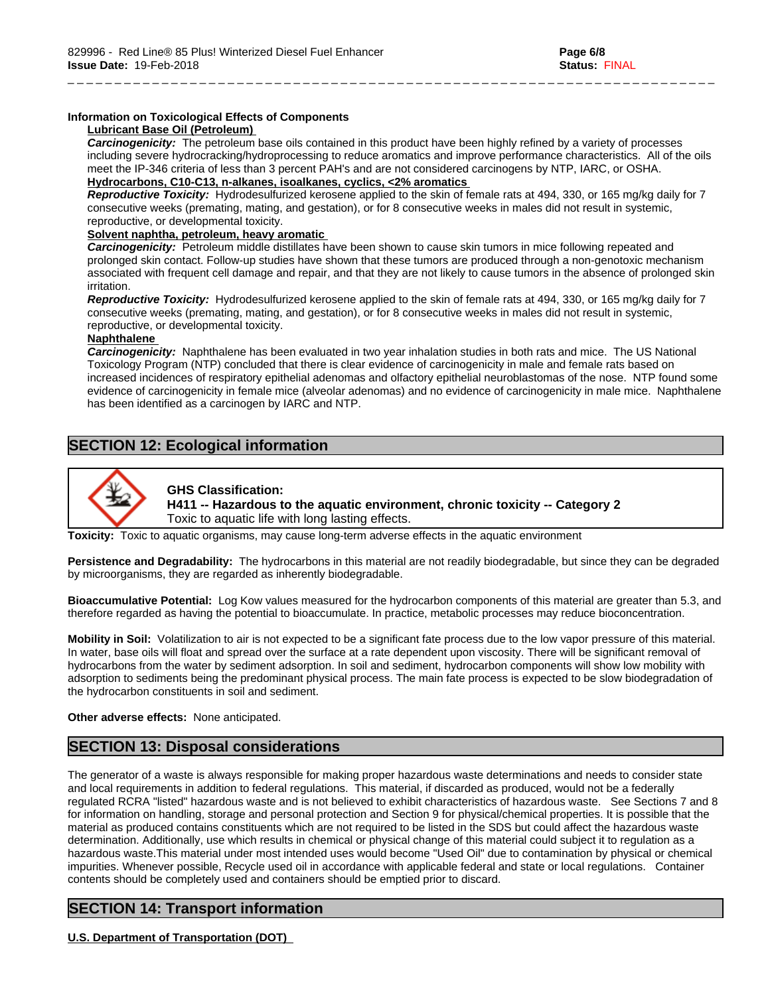#### **Information on Toxicological Effects of Components**

#### **Lubricant Base Oil (Petroleum)**

*Carcinogenicity:* The petroleum base oils contained in this product have been highly refined by a variety of processes including severe hydrocracking/hydroprocessing to reduce aromatics and improve performance characteristics. All of the oils meet the IP-346 criteria of less than 3 percent PAH's and are not considered carcinogens by NTP, IARC, or OSHA. **Hydrocarbons, C10-C13, n-alkanes, isoalkanes, cyclics, <2% aromatics**

\_ \_ \_ \_ \_ \_ \_ \_ \_ \_ \_ \_ \_ \_ \_ \_ \_ \_ \_ \_ \_ \_ \_ \_ \_ \_ \_ \_ \_ \_ \_ \_ \_ \_ \_ \_ \_ \_ \_ \_ \_ \_ \_ \_ \_ \_ \_ \_ \_ \_ \_ \_ \_ \_ \_ \_ \_ \_ \_ \_ \_ \_ \_ \_ \_ \_ \_ \_ \_

*Reproductive Toxicity:* Hydrodesulfurized kerosene applied to the skin of female rats at 494,330, or 165 mg/kg daily for 7 consecutive weeks (premating, mating, and gestation), or for 8 consecutive weeks in males did not result in systemic, reproductive, or developmental toxicity.

## **Solvent naphtha, petroleum, heavy aromatic**

*Carcinogenicity:* Petroleum middle distillates have been shown to cause skin tumors in mice following repeated and prolonged skin contact. Follow-up studies have shown that these tumors are produced through a non-genotoxic mechanism associated with frequent cell damage and repair, and that they are not likely to cause tumors in the absence of prolonged skin irritation.

*Reproductive Toxicity:* Hydrodesulfurized kerosene applied to the skin of female rats at 494,330, or 165 mg/kg daily for 7 consecutive weeks (premating, mating, and gestation), or for 8 consecutive weeks in males did not result in systemic, reproductive, or developmental toxicity.

#### **Naphthalene**

*Carcinogenicity:* Naphthalene has been evaluated in two year inhalation studies in both rats and mice. The US National Toxicology Program (NTP) concluded that there is clear evidence of carcinogenicity in male and female rats based on increased incidences of respiratory epithelial adenomas and olfactory epithelial neuroblastomas of the nose. NTP found some evidence of carcinogenicity in female mice (alveolar adenomas) and no evidence of carcinogenicity in male mice. Naphthalene has been identified as a carcinogen by IARC and NTP.

# **SECTION 12: Ecological information**



### **GHS Classification: H411 -- Hazardous to the aquatic environment, chronic toxicity -- Category 2** Toxic to aquatic life with long lasting effects.

**Toxicity:** Toxic to aquatic organisms, may cause long-term adverse effects in the aquatic environment

**Persistence and Degradability:** The hydrocarbons in this material are not readily biodegradable, but since they can be degraded by microorganisms, they are regarded as inherently biodegradable.

**Bioaccumulative Potential:** Log Kow values measured for the hydrocarbon components of this material are greater than 5.3, and therefore regarded as having the potential to bioaccumulate. In practice, metabolic processes may reduce bioconcentration.

**Mobility in Soil:** Volatilization to air is not expected to be a significant fate process due to the low vapor pressure of this material. In water, base oils will float and spread over the surface at a rate dependent upon viscosity. There will be significant removal of hydrocarbons from the water by sediment adsorption. In soil and sediment, hydrocarbon components will show low mobility with adsorption to sediments being the predominant physical process. The main fate process is expected to be slow biodegradation of the hydrocarbon constituents in soil and sediment.

#### **Other adverse effects:** None anticipated.

# **SECTION 13: Disposal considerations**

The generator of a waste is always responsible for making proper hazardous waste determinations and needs to consider state and local requirements in addition to federal regulations. This material, if discarded as produced, would not be a federally regulated RCRA "listed" hazardous waste and is not believed to exhibit characteristics of hazardous waste. See Sections 7 and 8 for information on handling, storage and personal protection and Section 9 for physical/chemical properties. It is possible that the material as produced contains constituents which are not required to be listed in the SDS but could affect the hazardous waste determination. Additionally, use which results in chemical or physical change of this material could subject it to regulation as a hazardous waste.This material under most intended uses would become "Used Oil" due to contamination by physical or chemical impurities. Whenever possible, Recycle used oil in accordance with applicable federal and state or local regulations. Container contents should be completely used and containers should be emptied prior to discard.

# **SECTION 14: Transport information**

## **U.S. Department of Transportation (DOT)**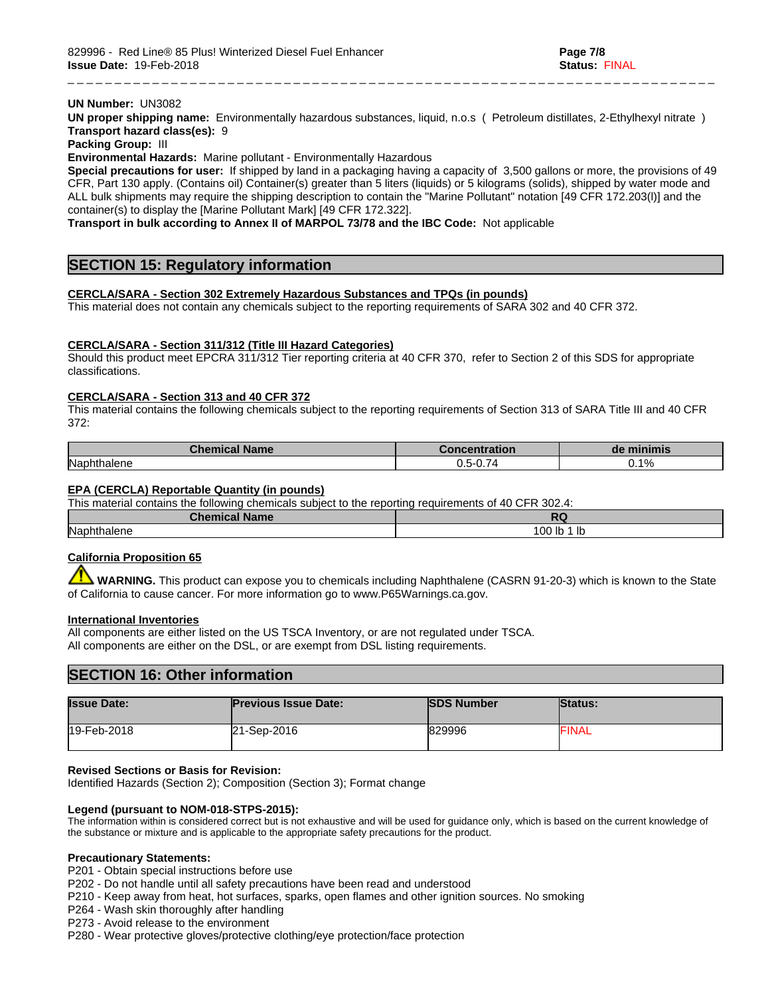#### **UN Number:** UN3082

**UN proper shipping name:** Environmentally hazardous substances, liquid, n.o.s ( Petroleum distillates, 2-Ethylhexyl nitrate ) **Transport hazard class(es):** 9

\_ \_ \_ \_ \_ \_ \_ \_ \_ \_ \_ \_ \_ \_ \_ \_ \_ \_ \_ \_ \_ \_ \_ \_ \_ \_ \_ \_ \_ \_ \_ \_ \_ \_ \_ \_ \_ \_ \_ \_ \_ \_ \_ \_ \_ \_ \_ \_ \_ \_ \_ \_ \_ \_ \_ \_ \_ \_ \_ \_ \_ \_ \_ \_ \_ \_ \_ \_ \_

**Packing Group:** III

**Environmental Hazards:** Marine pollutant - Environmentally Hazardous

**Special precautions for user:** If shipped by land in a packaging having a capacity of 3,500 gallons or more, the provisions of 49 CFR, Part 130 apply. (Contains oil) Container(s) greater than 5 liters (liquids) or 5 kilograms (solids), shipped by water mode and ALL bulk shipments may require the shipping description to contain the "Marine Pollutant" notation [49 CFR 172.203(l)] and the container(s) to display the [Marine Pollutant Mark] [49 CFR 172.322].

**Transport in bulk according to Annex II of MARPOL 73/78 and the IBC Code:** Not applicable

# **SECTION 15: Regulatory information**

### **CERCLA/SARA - Section 302 Extremely Hazardous Substances and TPQs (in pounds)**

This material does not contain any chemicals subject to the reporting requirements of SARA 302 and 40 CFR 372.

### **CERCLA/SARA - Section 311/312 (Title III Hazard Categories)**

Should this product meet EPCRA 311/312 Tier reporting criteria at 40 CFR 370, refer to Section 2 of this SDS for appropriate classifications.

#### **CERCLA/SARA - Section 313 and 40 CFR 372**

This material contains the following chemicals subject to the reporting requirements of Section 313 of SARA Title III and 40 CFR 372:

| <b>Chemical Name</b> | pncentration                           | de minimis          |
|----------------------|----------------------------------------|---------------------|
| Naphthalene          | $\sim$ $-$<br>ו- היו<br>.<br>◡.◡<br>◡. | .140/<br>. U.<br>70 |

#### **EPA (CERCLA) Reportable Quantity (in pounds)**

This material contains the following chemicals subject to the reporting requirements of 40 CFR 302.4:

| Chemical    | $-$          |  |
|-------------|--------------|--|
| <b>Name</b> | .            |  |
| Naphthalene | 100 lb<br>lb |  |

## **California Proposition 65**

 **WARNING.** This product can expose you to chemicals including Naphthalene (CASRN 91-20-3) which is known to the State of California to cause cancer. For more information go to www.P65Warnings.ca.gov.

#### **International Inventories**

All components are either listed on the US TSCA Inventory, or are not regulated under TSCA. All components are either on the DSL, or are exempt from DSL listing requirements.

## **SECTION 16: Other information**

| <b>Issue Date:</b> | <b>Previous Issue Date:</b> | <b>ISDS Number</b> | <b>Status:</b> |
|--------------------|-----------------------------|--------------------|----------------|
| 19-Feb-2018        | 21-Sep-2016                 | 829996             | <b>FINAL</b>   |

#### **Revised Sections or Basis for Revision:**

Identified Hazards (Section 2); Composition (Section 3); Format change

#### **Legend (pursuant to NOM-018-STPS-2015):**

The information within is considered correct but is not exhaustive and will be used for guidance only, which is based on the current knowledge of the substance or mixture and is applicable to the appropriate safety precautions for the product.

#### **Precautionary Statements:**

P201 - Obtain special instructions before use

P202 - Do not handle until all safety precautions have been read and understood

P210 - Keep away from heat, hot surfaces, sparks, open flames and other ignition sources. No smoking

P264 - Wash skin thoroughly after handling

P273 - Avoid release to the environment

P280 - Wear protective gloves/protective clothing/eye protection/face protection